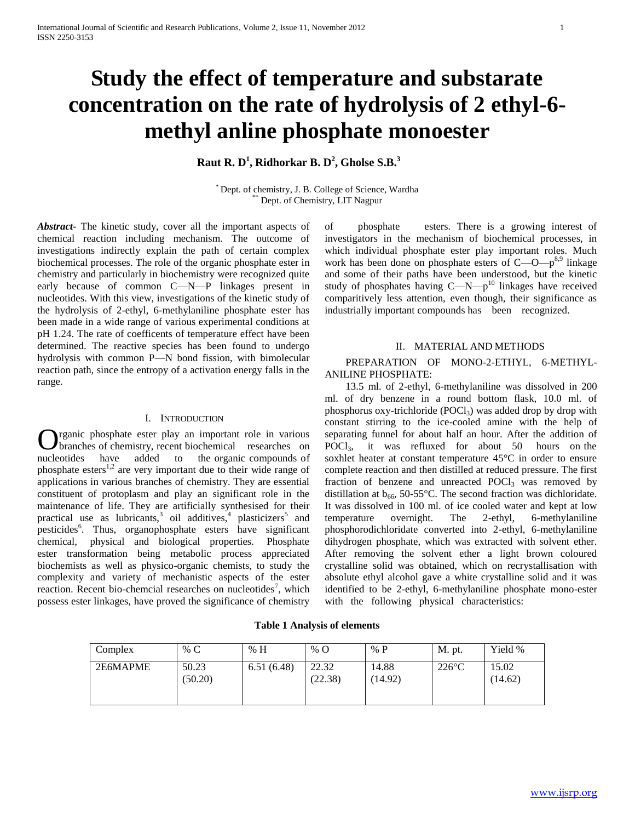# **Study the effect of temperature and substarate concentration on the rate of hydrolysis of 2 ethyl-6 methyl anline phosphate monoester**

**Raut R. D<sup>1</sup> , Ridhorkar B. D<sup>2</sup> , Gholse S.B.<sup>3</sup>**

\* Dept. of chemistry, J. B. College of Science, Wardha Dept. of Chemistry, LIT Nagpur

*Abstract***-** The kinetic study, cover all the important aspects of chemical reaction including mechanism. The outcome of investigations indirectly explain the path of certain complex biochemical processes. The role of the organic phosphate ester in chemistry and particularly in biochemistry were recognized quite early because of common C—N—P linkages present in nucleotides. With this view, investigations of the kinetic study of the hydrolysis of 2-ethyl, 6-methylaniline phosphate ester has been made in a wide range of various experimental conditions at pH 1.24. The rate of coefficents of temperature effect have been determined. The reactive species has been found to undergo hydrolysis with common P—N bond fission, with bimolecular reaction path, since the entropy of a activation energy falls in the range.

#### I. INTRODUCTION

rganic phosphate ester play an important role in various branches of chemistry, recent biochemical researches on **C** rganic phosphate ester play an important role in various<br>branches of chemistry, recent biochemical researches on<br>nucleotides have added to the organic compounds of phosphate esters<sup>1,2</sup> are very important due to their wide range of applications in various branches of chemistry. They are essential constituent of protoplasm and play an significant role in the maintenance of life. They are artificially synthesised for their practical use as lubricants,<sup>3</sup> oil additives,<sup>4</sup> plasticizers<sup>5</sup> and pesticides<sup>6</sup>. Thus, organophosphate esters have significant chemical, physical and biological properties. Phosphate ester transformation being metabolic process appreciated biochemists as well as physico-organic chemists, to study the complexity and variety of mechanistic aspects of the ester reaction. Recent bio-chemcial researches on nucleotides<sup>7</sup>, which possess ester linkages, have proved the significance of chemistry

of phosphate esters. There is a growing interest of investigators in the mechanism of biochemical processes, in which individual phosphate ester play important roles. Much work has been done on phosphate esters of C—O—p<sup>8,9</sup> linkage and some of their paths have been understood, but the kinetic study of phosphates having  $C-M-p^{10}$  linkages have received comparitively less attention, even though, their significance as industrially important compounds has been recognized.

### II. MATERIAL AND METHODS

# PREPARATION OF MONO-2-ETHYL, 6-METHYL-ANILINE PHOSPHATE:

 13.5 ml. of 2-ethyl, 6-methylaniline was dissolved in 200 ml. of dry benzene in a round bottom flask, 10.0 ml. of phosphorus oxy-trichloride  $(POCl<sub>3</sub>)$  was added drop by drop with constant stirring to the ice-cooled amine with the help of separating funnel for about half an hour. After the addition of POCl3, it was refluxed for about 50 hours on the soxhlet heater at constant temperature 45°C in order to ensure complete reaction and then distilled at reduced pressure. The first fraction of benzene and unreacted  $POCl<sub>3</sub>$  was removed by distillation at  $b_{66}$ , 50-55°C. The second fraction was dichloridate. It was dissolved in 100 ml. of ice cooled water and kept at low temperature overnight. The 2-ethyl, 6-methylaniline phosphorodichloridate converted into 2-ethyl, 6-methylaniline dihydrogen phosphate, which was extracted with solvent ether. After removing the solvent ether a light brown coloured crystalline solid was obtained, which on recrystallisation with absolute ethyl alcohol gave a white crystalline solid and it was identified to be 2-ethyl, 6-methylaniline phosphate mono-ester with the following physical characteristics:

### **Table 1 Analysis of elements**

| Complex  | % $C$            | % H        | % $\rm{O}$       | % $P$            | <b>M.</b> pt.   | Yield %          |
|----------|------------------|------------|------------------|------------------|-----------------|------------------|
| 2E6MAPME | 50.23<br>(50.20) | 6.51(6.48) | 22.32<br>(22.38) | 14.88<br>(14.92) | $226^{\circ}$ C | 15.02<br>(14.62) |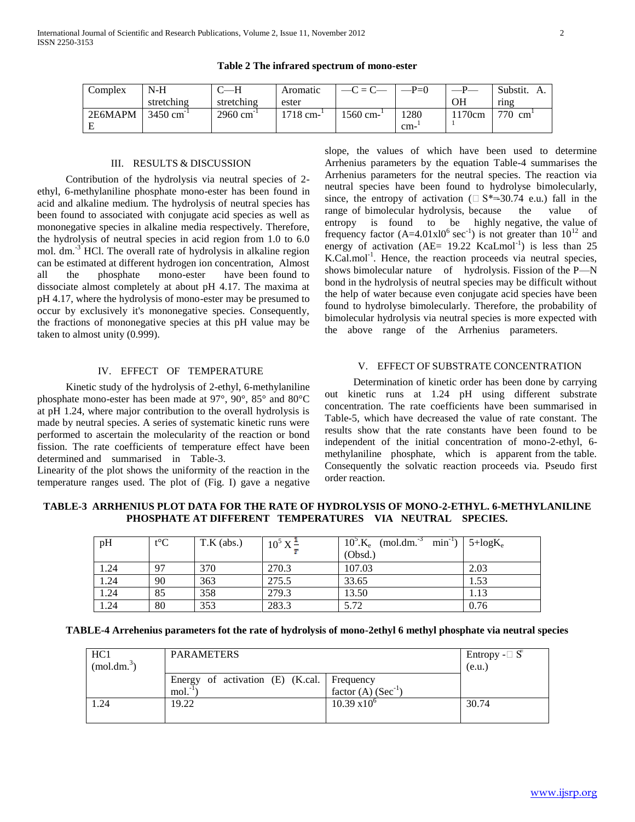| Complex | N-H                    |                        | Aromatic   | $-C = C$ | $-P=0$ |       | Substit. |
|---------|------------------------|------------------------|------------|----------|--------|-------|----------|
|         | stretching             | stretching             | ester      |          |        | OН    | ring     |
| 2E6MAPM | $3450 \text{ cm}^{-1}$ | $2960 \text{ cm}^{-1}$ | $1718$ cm- | 1560 cm- | 1280   | 170cm | 770 cm   |
|         |                        |                        |            |          | cm-    |       |          |

### **Table 2 The infrared spectrum of mono-ester**

#### III. RESULTS & DISCUSSION

 Contribution of the hydrolysis via neutral species of 2 ethyl, 6-methylaniline phosphate mono-ester has been found in acid and alkaline medium. The hydrolysis of neutral species has been found to associated with conjugate acid species as well as mononegative species in alkaline media respectively. Therefore, the hydrolysis of neutral species in acid region from 1.0 to 6.0 mol. dm.<sup>-3</sup> HCl. The overall rate of hydrolysis in alkaline region can be estimated at different hydrogen ion concentration, Almost all the phosphate mono-ester have been found to dissociate almost completely at about pH 4.17. The maxima at pH 4.17, where the hydrolysis of mono-ester may be presumed to occur by exclusively it's mononegative species. Consequently, the fractions of mononegative species at this pH value may be taken to almost unity (0.999).

# IV. EFFECT OF TEMPERATURE

 Kinetic study of the hydrolysis of 2-ethyl, 6-methylaniline phosphate mono-ester has been made at 97°, 90°, 85° and 80°C at pH 1.24, where major contribution to the overall hydrolysis is made by neutral species. A series of systematic kinetic runs were performed to ascertain the molecularity of the reaction or bond fission. The rate coefficients of temperature effect have been determined and summarised in Table-3.

Linearity of the plot shows the uniformity of the reaction in the temperature ranges used. The plot of (Fig. I) gave a negative slope, the values of which have been used to determine Arrhenius parameters by the equation Table-4 summarises the Arrhenius parameters for the neutral species. The reaction via neutral species have been found to hydrolyse bimolecularly, since, the entropy of activation ( $\Box$  S\*=30.74 e.u.) fall in the range of bimolecular hydrolysis, because the value of entropy is found to be highly negative, the value of frequency factor  $(A=4.01x10^6 \text{ sec}^{-1})$  is not greater than  $10^{12}$  and energy of activation  $(AE = 19.22 \text{ KcaLmol}^{-1})$  is less than 25 K.Cal.mol<sup>-1</sup>. Hence, the reaction proceeds via neutral species, shows bimolecular nature of hydrolysis. Fission of the P—N bond in the hydrolysis of neutral species may be difficult without the help of water because even conjugate acid species have been found to hydrolyse bimolecularly. Therefore, the probability of bimolecular hydrolysis via neutral species is more expected with the above range of the Arrhenius parameters.

#### V. EFFECT OF SUBSTRATE CONCENTRATION

 Determination of kinetic order has been done by carrying out kinetic runs at 1.24 pH using different substrate concentration. The rate coefficients have been summarised in Table-5, which have decreased the value of rate constant. The results show that the rate constants have been found to be independent of the initial concentration of mono-2-ethyl, 6 methylaniline phosphate, which is apparent from the table. Consequently the solvatic reaction proceeds via. Pseudo first order reaction.

**TABLE-3 ARRHENIUS PLOT DATA FOR THE RATE OF HYDROLYSIS OF MONO-2-ETHYL. 6-METHYLANILINE PHOSPHATE AT DIFFERENT TEMPERATURES VIA NEUTRAL SPECIES.**

| pH   | $t^{\circ}C$ | $T.K$ (abs.) | $10^5 X^{\pm}$ | $10^5$ .K <sub>e</sub><br>$min^{-1}$ )<br>$(mod. dm^{-3}$<br>(Obsd.) | $5 + log K_e$ |
|------|--------------|--------------|----------------|----------------------------------------------------------------------|---------------|
| 1.24 |              | 370          | 270.3          | 107.03                                                               | 2.03          |
| 1.24 | 90           | 363          | 275.5          | 33.65                                                                | 1.53          |
| 1.24 | 85           | 358          | 279.3          | 13.50                                                                | 1.13          |
| 1.24 | 80           | 353          | 283.3          | 5.72                                                                 | 0.76          |

| TABLE-4 Arrehenius parameters fot the rate of hydrolysis of mono-2ethyl 6 methyl phosphate via neutral species |  |  |  |
|----------------------------------------------------------------------------------------------------------------|--|--|--|
|                                                                                                                |  |  |  |

| HC1<br>$(mod.dim.^3)$ | <b>PARAMETERS</b>                                                   | Entropy - $\Box$ $\overline{S}$<br>(e.u.) |       |
|-----------------------|---------------------------------------------------------------------|-------------------------------------------|-------|
|                       | Energy of activation $(E)$ (K.cal.   Frequency<br>mol. <sup>1</sup> | factor (A) $(Sec^{-1})$                   |       |
| 1.24                  | 19.22                                                               | $10.39 \times 10^{6}$                     | 30.74 |